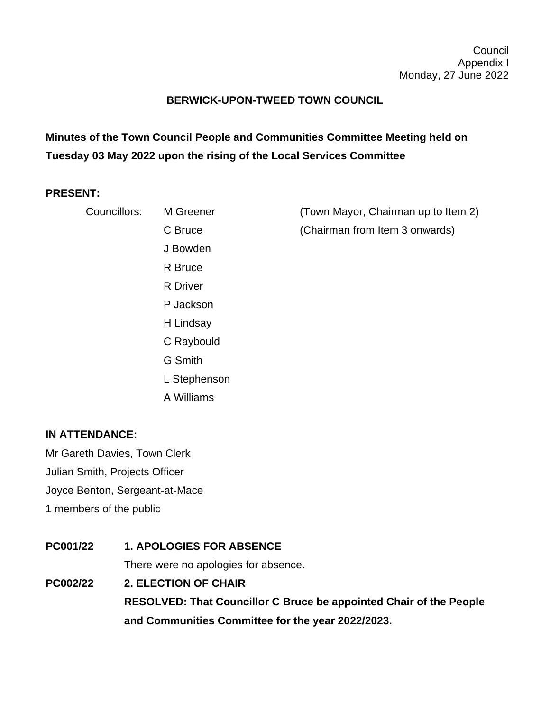## **BERWICK-UPON-TWEED TOWN COUNCIL**

**Minutes of the Town Council People and Communities Committee Meeting held on Tuesday 03 May 2022 upon the rising of the Local Services Committee**

## **PRESENT:**

| Councillors: | M Greener    | (Town Mayor, Chairman up to Item 2) |
|--------------|--------------|-------------------------------------|
|              | C Bruce      | (Chairman from Item 3 onwards)      |
|              | J Bowden     |                                     |
|              | R Bruce      |                                     |
|              | R Driver     |                                     |
|              | P Jackson    |                                     |
|              | H Lindsay    |                                     |
|              | C Raybould   |                                     |
|              | G Smith      |                                     |
|              | L Stephenson |                                     |
|              | A Williams   |                                     |

## **IN ATTENDANCE:**

Mr Gareth Davies, Town Clerk Julian Smith, Projects Officer Joyce Benton, Sergeant-at-Mace 1 members of the public

**PC001/22 1. APOLOGIES FOR ABSENCE** There were no apologies for absence. **PC002/22 2. ELECTION OF CHAIR RESOLVED: That Councillor C Bruce be appointed Chair of the People and Communities Committee for the year 2022/2023.**